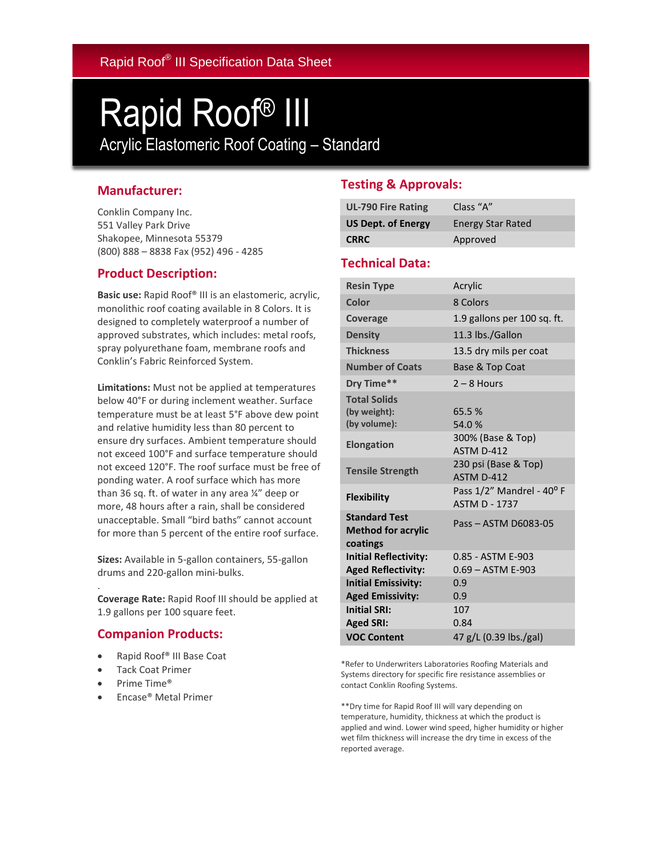# Rapid Roof® III

Acrylic Elastomeric Roof Coating – Standard

### **Manufacturer:**

Conklin Company Inc. 551 Valley Park Drive Shakopee, Minnesota 55379 (800) 888 – 8838 Fax (952) 496 - 4285

### **Product Description:**

**Basic use:** Rapid Roof® III is an elastomeric, acrylic, monolithic roof coating available in 8 Colors. It is designed to completely waterproof a number of approved substrates, which includes: metal roofs, spray polyurethane foam, membrane roofs and Conklin's Fabric Reinforced System.

**Limitations:** Must not be applied at temperatures below 40°F or during inclement weather. Surface temperature must be at least 5°F above dew point and relative humidity less than 80 percent to ensure dry surfaces. Ambient temperature should not exceed 100°F and surface temperature should not exceed 120°F. The roof surface must be free of ponding water. A roof surface which has more than 36 sq. ft. of water in any area ¼" deep or more, 48 hours after a rain, shall be considered unacceptable. Small "bird baths" cannot account for more than 5 percent of the entire roof surface.

**Sizes:** Available in 5-gallon containers, 55-gallon drums and 220-gallon mini-bulks.

**Coverage Rate:** Rapid Roof III should be applied at 1.9 gallons per 100 square feet.

### **Companion Products:**

- Rapid Roof® III Base Coat
- Tack Coat Primer
- Prime Time®

.

Encase® Metal Primer

## **Testing & Approvals:**

| <b>UL-790 Fire Rating</b> | Class "A"                |
|---------------------------|--------------------------|
| <b>US Dept. of Energy</b> | <b>Energy Star Rated</b> |
| <b>CRRC</b>               | Approved                 |

#### **Technical Data:**

| <b>Resin Type</b>                                             | Acrylic                                           |
|---------------------------------------------------------------|---------------------------------------------------|
| Color                                                         | 8 Colors                                          |
| Coverage                                                      | 1.9 gallons per 100 sq. ft.                       |
| <b>Density</b>                                                | 11.3 lbs./Gallon                                  |
| <b>Thickness</b>                                              | 13.5 dry mils per coat                            |
| <b>Number of Coats</b>                                        | Base & Top Coat                                   |
| Drv Time**                                                    | $2 - 8$ Hours                                     |
| <b>Total Solids</b><br>(by weight):<br>(by volume):           | 65.5%<br>54.0%                                    |
| <b>Elongation</b>                                             | 300% (Base & Top)<br>ASTM D-412                   |
| <b>Tensile Strength</b>                                       | 230 psi (Base & Top)<br>ASTM D-412                |
| <b>Flexibility</b>                                            | Pass 1/2" Mandrel - 40° F<br><b>ASTM D - 1737</b> |
| <b>Standard Test</b><br><b>Method for acrylic</b><br>coatings | Pass - ASTM D6083-05                              |
| <b>Initial Reflectivity:</b>                                  | 0.85 - ASTM E-903                                 |
| <b>Aged Reflectivity:</b>                                     | $0.69 - ASTM E-903$                               |
| <b>Initial Emissivity:</b>                                    | 0.9                                               |
| <b>Aged Emissivity:</b>                                       | 0.9                                               |
| <b>Initial SRI:</b>                                           | 107                                               |
| <b>Aged SRI:</b>                                              | 0.84                                              |
| <b>VOC Content</b>                                            | 47 g/L (0.39 lbs./gal)                            |

\*Refer to Underwriters Laboratories Roofing Materials and Systems directory for specific fire resistance assemblies or contact Conklin Roofing Systems.

\*\*Dry time for Rapid Roof III will vary depending on temperature, humidity, thickness at which the product is applied and wind. Lower wind speed, higher humidity or higher wet film thickness will increase the dry time in excess of the reported average.